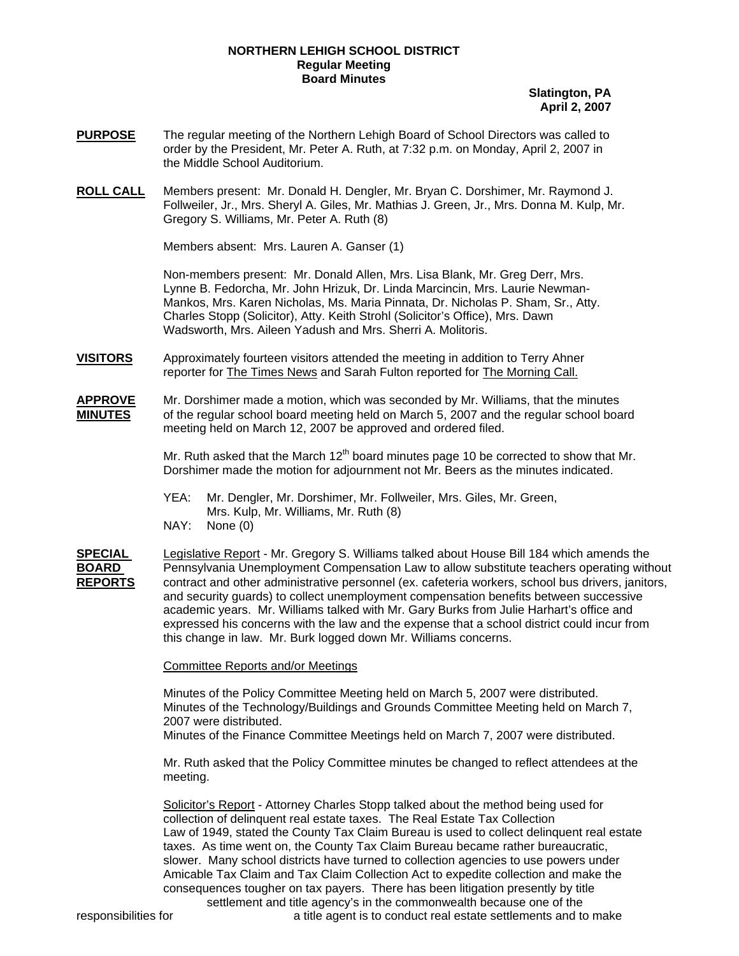## **NORTHERN LEHIGH SCHOOL DISTRICT Regular Meeting Board Minutes**

**Slatington, PA April 2, 2007**

- **PURPOSE** The regular meeting of the Northern Lehigh Board of School Directors was called to order by the President, Mr. Peter A. Ruth, at 7:32 p.m. on Monday, April 2, 2007 in the Middle School Auditorium.
- **ROLL CALL** Members present: Mr. Donald H. Dengler, Mr. Bryan C. Dorshimer, Mr. Raymond J. Follweiler, Jr., Mrs. Sheryl A. Giles, Mr. Mathias J. Green, Jr., Mrs. Donna M. Kulp, Mr. Gregory S. Williams, Mr. Peter A. Ruth (8)

Members absent: Mrs. Lauren A. Ganser (1)

Non-members present: Mr. Donald Allen, Mrs. Lisa Blank, Mr. Greg Derr, Mrs. Lynne B. Fedorcha, Mr. John Hrizuk, Dr. Linda Marcincin, Mrs. Laurie Newman-Mankos, Mrs. Karen Nicholas, Ms. Maria Pinnata, Dr. Nicholas P. Sham, Sr., Atty. Charles Stopp (Solicitor), Atty. Keith Strohl (Solicitor's Office), Mrs. Dawn Wadsworth, Mrs. Aileen Yadush and Mrs. Sherri A. Molitoris.

**VISITORS** Approximately fourteen visitors attended the meeting in addition to Terry Ahner reporter for The Times News and Sarah Fulton reported for The Morning Call.

**APPROVE** Mr. Dorshimer made a motion, which was seconded by Mr. Williams, that the minutes **MINUTES** of the regular school board meeting held on March 5, 2007 and the regular school board meeting held on March 12, 2007 be approved and ordered filed.

> Mr. Ruth asked that the March  $12<sup>th</sup>$  board minutes page 10 be corrected to show that Mr. Dorshimer made the motion for adjournment not Mr. Beers as the minutes indicated.

 YEA: Mr. Dengler, Mr. Dorshimer, Mr. Follweiler, Mrs. Giles, Mr. Green, Mrs. Kulp, Mr. Williams, Mr. Ruth (8) NAY: None (0)

**SPECIAL** Legislative Report - Mr. Gregory S. Williams talked about House Bill 184 which amends the Pennsylvania Unemployment Compensation Law to allow substitute teachers operating without **REPORTS** contract and other administrative personnel (ex. cafeteria workers, school bus drivers, janitors, and security guards) to collect unemployment compensation benefits between successive academic years. Mr. Williams talked with Mr. Gary Burks from Julie Harhart's office and expressed his concerns with the law and the expense that a school district could incur from this change in law. Mr. Burk logged down Mr. Williams concerns.

Committee Reports and/or Meetings

Minutes of the Policy Committee Meeting held on March 5, 2007 were distributed. Minutes of the Technology/Buildings and Grounds Committee Meeting held on March 7, 2007 were distributed.

Minutes of the Finance Committee Meetings held on March 7, 2007 were distributed.

Mr. Ruth asked that the Policy Committee minutes be changed to reflect attendees at the meeting.

 Solicitor's Report - Attorney Charles Stopp talked about the method being used for collection of delinquent real estate taxes. The Real Estate Tax Collection Law of 1949, stated the County Tax Claim Bureau is used to collect delinquent real estate taxes. As time went on, the County Tax Claim Bureau became rather bureaucratic, slower. Many school districts have turned to collection agencies to use powers under Amicable Tax Claim and Tax Claim Collection Act to expedite collection and make the consequences tougher on tax payers. There has been litigation presently by title settlement and title agency's in the commonwealth because one of the

responsibilities for **a** title agent is to conduct real estate settlements and to make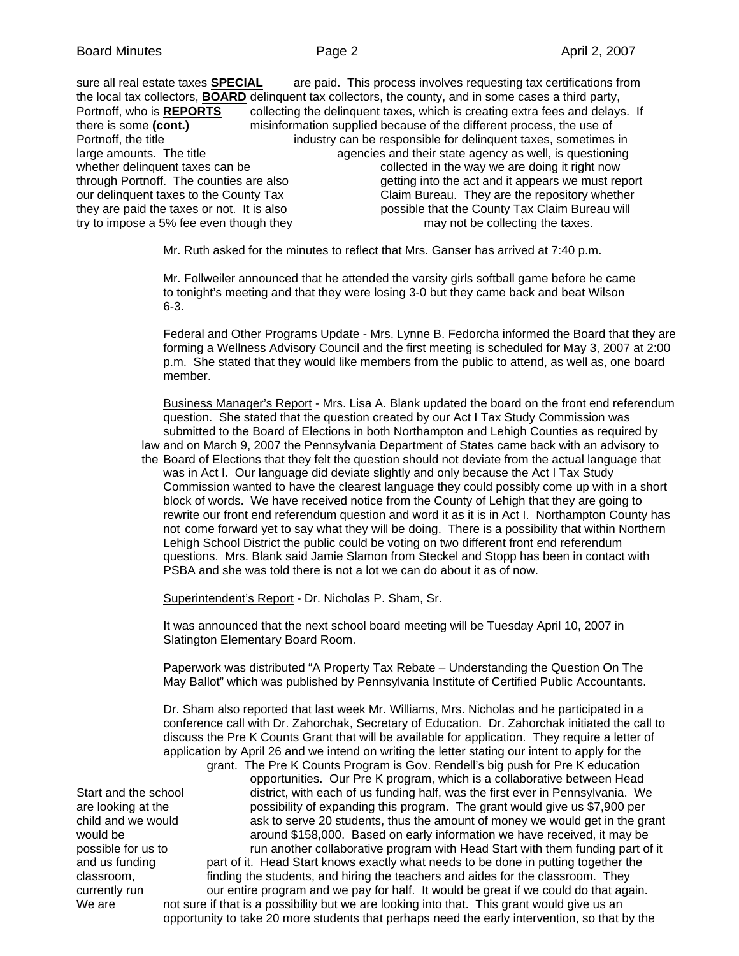sure all real estate taxes **SPECIAL** are paid. This process involves requesting tax certifications from the local tax collectors, **BOARD** delinquent tax collectors, the county, and in some cases a third party, Portnoff, who is **REPORTS** collecting the delinquent taxes, which is creating extra fees and delays. If there is some **(cont.)** misinformation supplied because of the different process, the use of Portnoff, the title industry can be responsible for delinquent taxes, sometimes in large amounts. The title and their state agency as well, is questioning whether delinquent taxes can be collected in the way we are doing it right now through Portnoff. The counties are also getting into the act and it appears we must report our delinquent taxes to the County Tax Claim Bureau. They are the repository whether they are paid the taxes or not. It is also possible that the County Tax Claim Bureau will try to impose a 5% fee even though they may not be collecting the taxes.

Mr. Ruth asked for the minutes to reflect that Mrs. Ganser has arrived at 7:40 p.m.

 Mr. Follweiler announced that he attended the varsity girls softball game before he came to tonight's meeting and that they were losing 3-0 but they came back and beat Wilson 6-3.

Federal and Other Programs Update - Mrs. Lynne B. Fedorcha informed the Board that they are forming a Wellness Advisory Council and the first meeting is scheduled for May 3, 2007 at 2:00 p.m. She stated that they would like members from the public to attend, as well as, one board member.

Business Manager's Report - Mrs. Lisa A. Blank updated the board on the front end referendum question. She stated that the question created by our Act I Tax Study Commission was submitted to the Board of Elections in both Northampton and Lehigh Counties as required by law and on March 9, 2007 the Pennsylvania Department of States came back with an advisory to the Board of Elections that they felt the question should not deviate from the actual language that was in Act I. Our language did deviate slightly and only because the Act I Tax Study Commission wanted to have the clearest language they could possibly come up with in a short block of words. We have received notice from the County of Lehigh that they are going to rewrite our front end referendum question and word it as it is in Act I. Northampton County has not come forward yet to say what they will be doing. There is a possibility that within Northern Lehigh School District the public could be voting on two different front end referendum questions. Mrs. Blank said Jamie Slamon from Steckel and Stopp has been in contact with PSBA and she was told there is not a lot we can do about it as of now.

Superintendent's Report - Dr. Nicholas P. Sham, Sr.

It was announced that the next school board meeting will be Tuesday April 10, 2007 in Slatington Elementary Board Room.

Paperwork was distributed "A Property Tax Rebate – Understanding the Question On The May Ballot" which was published by Pennsylvania Institute of Certified Public Accountants.

 Dr. Sham also reported that last week Mr. Williams, Mrs. Nicholas and he participated in a conference call with Dr. Zahorchak, Secretary of Education. Dr. Zahorchak initiated the call to discuss the Pre K Counts Grant that will be available for application. They require a letter of application by April 26 and we intend on writing the letter stating our intent to apply for the

 grant. The Pre K Counts Program is Gov. Rendell's big push for Pre K education opportunities. Our Pre K program, which is a collaborative between Head Start and the school district, with each of us funding half, was the first ever in Pennsylvania. We are looking at the possibility of expanding this program. The grant would give us \$7,900 per child and we would ask to serve 20 students, thus the amount of money we would get in the grant would be arround \$158,000. Based on early information we have received, it may be possible for us to run another collaborative program with Head Start with them funding part of it and us funding part of it. Head Start knows exactly what needs to be done in putting together the classroom, finding the students, and hiring the teachers and aides for the classroom. They currently run our entire program and we pay for half. It would be great if we could do that again. We are not sure if that is a possibility but we are looking into that. This grant would give us an opportunity to take 20 more students that perhaps need the early intervention, so that by the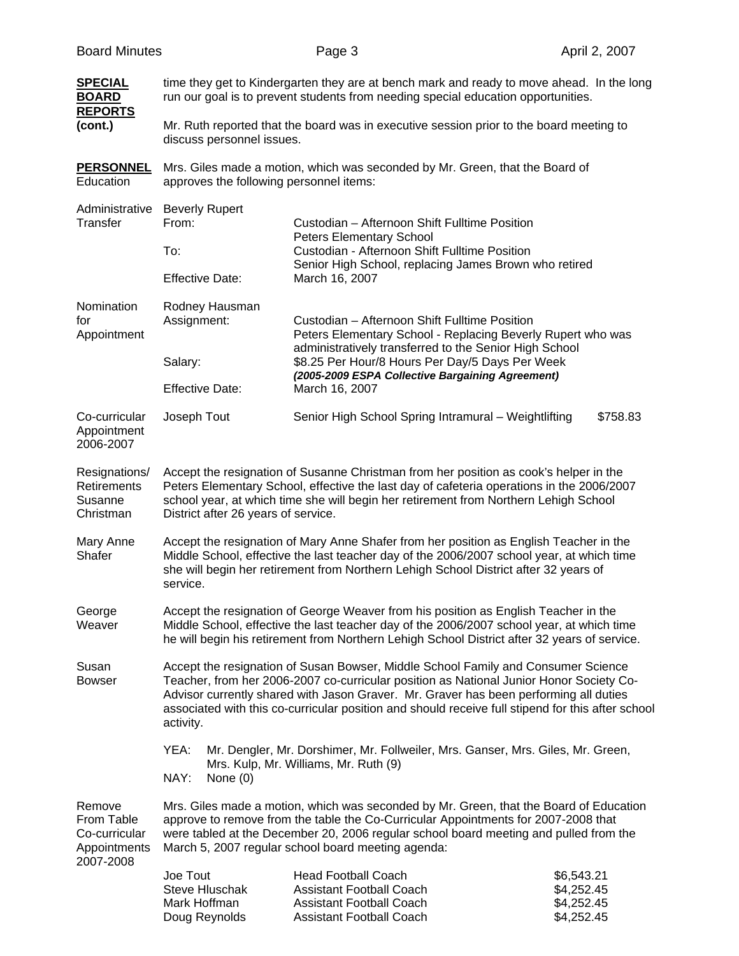| <b>SPECIAL</b><br><b>BOARD</b>                        | time they get to Kindergarten they are at bench mark and ready to move ahead. In the long<br>run our goal is to prevent students from needing special education opportunities.                                                                                                                                                                                                          |                                                                                                                                                                                                                                                                                                 |                                                      |  |
|-------------------------------------------------------|-----------------------------------------------------------------------------------------------------------------------------------------------------------------------------------------------------------------------------------------------------------------------------------------------------------------------------------------------------------------------------------------|-------------------------------------------------------------------------------------------------------------------------------------------------------------------------------------------------------------------------------------------------------------------------------------------------|------------------------------------------------------|--|
| <b>REPORTS</b><br>(cont.)                             | Mr. Ruth reported that the board was in executive session prior to the board meeting to<br>discuss personnel issues.                                                                                                                                                                                                                                                                    |                                                                                                                                                                                                                                                                                                 |                                                      |  |
| <b>PERSONNEL</b><br>Education                         | Mrs. Giles made a motion, which was seconded by Mr. Green, that the Board of<br>approves the following personnel items:                                                                                                                                                                                                                                                                 |                                                                                                                                                                                                                                                                                                 |                                                      |  |
| Administrative<br>Transfer                            | <b>Beverly Rupert</b><br>From:                                                                                                                                                                                                                                                                                                                                                          | Custodian - Afternoon Shift Fulltime Position                                                                                                                                                                                                                                                   |                                                      |  |
|                                                       | To:                                                                                                                                                                                                                                                                                                                                                                                     | <b>Peters Elementary School</b><br>Custodian - Afternoon Shift Fulltime Position                                                                                                                                                                                                                |                                                      |  |
|                                                       | <b>Effective Date:</b>                                                                                                                                                                                                                                                                                                                                                                  | Senior High School, replacing James Brown who retired<br>March 16, 2007                                                                                                                                                                                                                         |                                                      |  |
| Nomination<br>for<br>Appointment                      | Rodney Hausman<br>Assignment:                                                                                                                                                                                                                                                                                                                                                           | Custodian - Afternoon Shift Fulltime Position<br>Peters Elementary School - Replacing Beverly Rupert who was<br>administratively transferred to the Senior High School<br>\$8.25 Per Hour/8 Hours Per Day/5 Days Per Week<br>(2005-2009 ESPA Collective Bargaining Agreement)<br>March 16, 2007 |                                                      |  |
|                                                       | Salary:                                                                                                                                                                                                                                                                                                                                                                                 |                                                                                                                                                                                                                                                                                                 |                                                      |  |
|                                                       | <b>Effective Date:</b>                                                                                                                                                                                                                                                                                                                                                                  |                                                                                                                                                                                                                                                                                                 |                                                      |  |
| Co-curricular<br>Appointment<br>2006-2007             | Joseph Tout                                                                                                                                                                                                                                                                                                                                                                             | Senior High School Spring Intramural - Weightlifting                                                                                                                                                                                                                                            | \$758.83                                             |  |
| Resignations/<br>Retirements<br>Susanne<br>Christman  | Accept the resignation of Susanne Christman from her position as cook's helper in the<br>Peters Elementary School, effective the last day of cafeteria operations in the 2006/2007<br>school year, at which time she will begin her retirement from Northern Lehigh School<br>District after 26 years of service.                                                                       |                                                                                                                                                                                                                                                                                                 |                                                      |  |
| Mary Anne<br>Shafer                                   | Accept the resignation of Mary Anne Shafer from her position as English Teacher in the<br>Middle School, effective the last teacher day of the 2006/2007 school year, at which time<br>she will begin her retirement from Northern Lehigh School District after 32 years of<br>service.                                                                                                 |                                                                                                                                                                                                                                                                                                 |                                                      |  |
| George<br>Weaver                                      | Accept the resignation of George Weaver from his position as English Teacher in the<br>Middle School, effective the last teacher day of the 2006/2007 school year, at which time<br>he will begin his retirement from Northern Lehigh School District after 32 years of service.                                                                                                        |                                                                                                                                                                                                                                                                                                 |                                                      |  |
| Susan<br><b>Bowser</b>                                | Accept the resignation of Susan Bowser, Middle School Family and Consumer Science<br>Teacher, from her 2006-2007 co-curricular position as National Junior Honor Society Co-<br>Advisor currently shared with Jason Graver. Mr. Graver has been performing all duties<br>associated with this co-curricular position and should receive full stipend for this after school<br>activity. |                                                                                                                                                                                                                                                                                                 |                                                      |  |
|                                                       | YEA:<br>Mr. Dengler, Mr. Dorshimer, Mr. Follweiler, Mrs. Ganser, Mrs. Giles, Mr. Green,<br>Mrs. Kulp, Mr. Williams, Mr. Ruth (9)<br>NAY:<br>None $(0)$                                                                                                                                                                                                                                  |                                                                                                                                                                                                                                                                                                 |                                                      |  |
| Remove<br>From Table<br>Co-curricular<br>Appointments | Mrs. Giles made a motion, which was seconded by Mr. Green, that the Board of Education<br>approve to remove from the table the Co-Curricular Appointments for 2007-2008 that<br>were tabled at the December 20, 2006 regular school board meeting and pulled from the<br>March 5, 2007 regular school board meeting agenda:                                                             |                                                                                                                                                                                                                                                                                                 |                                                      |  |
| 2007-2008                                             | Joe Tout<br><b>Steve Hluschak</b><br>Mark Hoffman<br>Doug Reynolds                                                                                                                                                                                                                                                                                                                      | <b>Head Football Coach</b><br><b>Assistant Football Coach</b><br><b>Assistant Football Coach</b><br><b>Assistant Football Coach</b>                                                                                                                                                             | \$6,543.21<br>\$4,252.45<br>\$4,252.45<br>\$4,252.45 |  |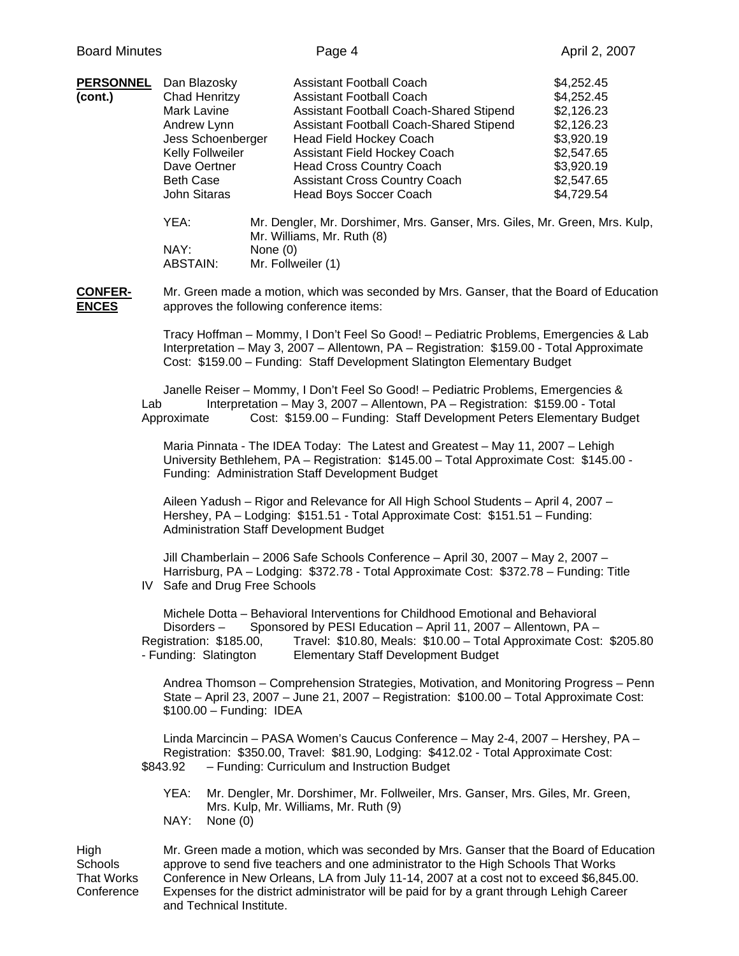| <b>PERSONNEL</b><br>(cont.)    |     | Dan Blazosky<br>Chad Henritzy<br>Mark Lavine<br>Andrew Lynn<br>Jess Schoenberger<br>Kelly Follweiler<br>Dave Oertner<br><b>Beth Case</b><br>John Sitaras |          | <b>Assistant Football Coach</b><br><b>Assistant Football Coach</b><br>Assistant Football Coach-Shared Stipend<br>Assistant Football Coach-Shared Stipend<br><b>Head Field Hockey Coach</b><br>Assistant Field Hockey Coach<br><b>Head Cross Country Coach</b><br><b>Assistant Cross Country Coach</b><br>Head Boys Soccer Coach | \$4,252.45<br>\$4,252.45<br>\$2,126.23<br>\$2,126.23<br>\$3,920.19<br>\$2,547.65<br>\$3,920.19<br>\$2,547.65<br>\$4,729.54 |
|--------------------------------|-----|----------------------------------------------------------------------------------------------------------------------------------------------------------|----------|---------------------------------------------------------------------------------------------------------------------------------------------------------------------------------------------------------------------------------------------------------------------------------------------------------------------------------|----------------------------------------------------------------------------------------------------------------------------|
|                                |     | YEA:<br>NAY:<br><b>ABSTAIN:</b>                                                                                                                          | None (0) | Mr. Dengler, Mr. Dorshimer, Mrs. Ganser, Mrs. Giles, Mr. Green, Mrs. Kulp,<br>Mr. Williams, Mr. Ruth (8)<br>Mr. Follweiler (1)                                                                                                                                                                                                  |                                                                                                                            |
| <b>CONFER-</b><br><b>ENCES</b> |     | Mr. Green made a motion, which was seconded by Mrs. Ganser, that the Board of Education<br>approves the following conference items:                      |          |                                                                                                                                                                                                                                                                                                                                 |                                                                                                                            |
|                                |     |                                                                                                                                                          |          | Tracy Hoffman - Mommy, I Don't Feel So Good! - Pediatric Problems, Emergencies & Lab<br>Interpretation - May 3, 2007 - Allentown, PA - Registration: \$159.00 - Total Approximate<br>Cost: \$159.00 - Funding: Staff Development Slatington Elementary Budget                                                                   |                                                                                                                            |
|                                | Lab | Approximate                                                                                                                                              |          | Janelle Reiser - Mommy, I Don't Feel So Good! - Pediatric Problems, Emergencies &<br>Interpretation - May 3, 2007 - Allentown, PA - Registration: \$159.00 - Total<br>Cost: \$159.00 - Funding: Staff Development Peters Elementary Budget                                                                                      |                                                                                                                            |
|                                |     |                                                                                                                                                          |          | Maria Pinnata - The IDEA Today: The Latest and Greatest - May 11, 2007 - Lehigh<br>University Bethlehem, PA - Registration: \$145.00 - Total Approximate Cost: \$145.00 -<br>Funding: Administration Staff Development Budget                                                                                                   |                                                                                                                            |
|                                |     |                                                                                                                                                          |          | Aileen Yadush - Rigor and Relevance for All High School Students - April 4, 2007 -<br>Hershey, PA - Lodging: \$151.51 - Total Approximate Cost: \$151.51 - Funding:<br><b>Administration Staff Development Budget</b>                                                                                                           |                                                                                                                            |
|                                |     | IV Safe and Drug Free Schools                                                                                                                            |          | Jill Chamberlain - 2006 Safe Schools Conference - April 30, 2007 - May 2, 2007 -<br>Harrisburg, PA - Lodging: \$372.78 - Total Approximate Cost: \$372.78 - Funding: Title                                                                                                                                                      |                                                                                                                            |
|                                |     | Disorders-<br>Registration: \$185.00,<br>- Funding: Slatington                                                                                           |          | Michele Dotta - Behavioral Interventions for Childhood Emotional and Behavioral<br>Sponsored by PESI Education - April 11, 2007 - Allentown, PA -<br>Travel: \$10.80, Meals: \$10.00 - Total Approximate Cost: \$205.80<br><b>Elementary Staff Development Budget</b>                                                           |                                                                                                                            |
|                                |     | $$100.00 - Funding: IDEA$                                                                                                                                |          | Andrea Thomson - Comprehension Strategies, Motivation, and Monitoring Progress - Penn<br>State - April 23, 2007 - June 21, 2007 - Registration: \$100.00 - Total Approximate Cost:                                                                                                                                              |                                                                                                                            |
|                                |     | \$843.92                                                                                                                                                 |          | Linda Marcincin - PASA Women's Caucus Conference - May 2-4, 2007 - Hershey, PA -<br>Registration: \$350.00, Travel: \$81.90, Lodging: \$412.02 - Total Approximate Cost:<br>- Funding: Curriculum and Instruction Budget                                                                                                        |                                                                                                                            |

- YEA: Mr. Dengler, Mr. Dorshimer, Mr. Follweiler, Mrs. Ganser, Mrs. Giles, Mr. Green, Mrs. Kulp, Mr. Williams, Mr. Ruth (9)
- NAY: None (0)

High Mr. Green made a motion, which was seconded by Mrs. Ganser that the Board of Education<br>Schools approve to send five teachers and one administrator to the High Schools That Works Schools approve to send five teachers and one administrator to the High Schools That Works<br>That Works Conference in New Orleans, LA from July 11-14, 2007 at a cost not to exceed \$6,845 Conference in New Orleans, LA from July 11-14, 2007 at a cost not to exceed \$6,845.00. Conference Expenses for the district administrator will be paid for by a grant through Lehigh Career and Technical Institute.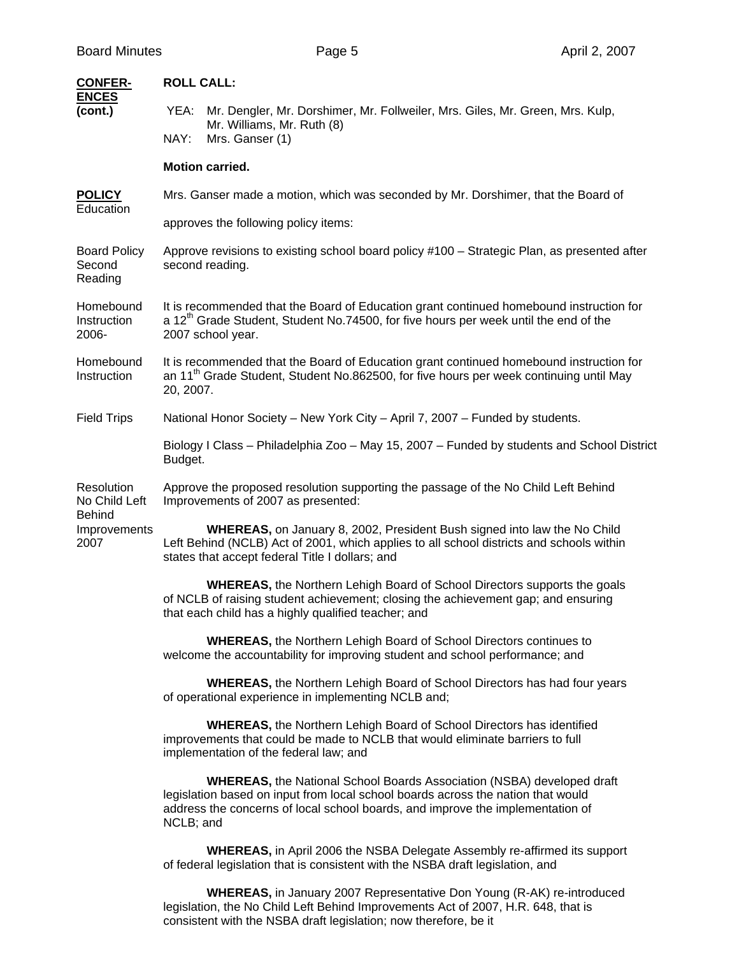| <b>CONFER-</b><br><b>ENCES</b>               | <b>ROLL CALL:</b>                                                                                                                                                                                                                                                |  |  |  |  |
|----------------------------------------------|------------------------------------------------------------------------------------------------------------------------------------------------------------------------------------------------------------------------------------------------------------------|--|--|--|--|
| (cont.)                                      | Mr. Dengler, Mr. Dorshimer, Mr. Follweiler, Mrs. Giles, Mr. Green, Mrs. Kulp,<br>YEA:<br>Mr. Williams, Mr. Ruth (8)<br>NAY:<br>Mrs. Ganser (1)                                                                                                                   |  |  |  |  |
|                                              | <b>Motion carried.</b>                                                                                                                                                                                                                                           |  |  |  |  |
| <b>POLICY</b>                                | Mrs. Ganser made a motion, which was seconded by Mr. Dorshimer, that the Board of                                                                                                                                                                                |  |  |  |  |
| Education                                    | approves the following policy items:                                                                                                                                                                                                                             |  |  |  |  |
| <b>Board Policy</b><br>Second<br>Reading     | Approve revisions to existing school board policy #100 – Strategic Plan, as presented after<br>second reading.                                                                                                                                                   |  |  |  |  |
| Homebound<br>Instruction<br>2006-            | It is recommended that the Board of Education grant continued homebound instruction for<br>a 12 <sup>th</sup> Grade Student, Student No.74500, for five hours per week until the end of the<br>2007 school year.                                                 |  |  |  |  |
| Homebound<br>Instruction                     | It is recommended that the Board of Education grant continued homebound instruction for<br>an 11 <sup>th</sup> Grade Student, Student No.862500, for five hours per week continuing until May<br>20, 2007.                                                       |  |  |  |  |
| <b>Field Trips</b>                           | National Honor Society - New York City - April 7, 2007 - Funded by students.                                                                                                                                                                                     |  |  |  |  |
|                                              | Biology I Class - Philadelphia Zoo - May 15, 2007 - Funded by students and School District<br>Budget.                                                                                                                                                            |  |  |  |  |
| Resolution<br>No Child Left<br><b>Behind</b> | Approve the proposed resolution supporting the passage of the No Child Left Behind<br>Improvements of 2007 as presented:                                                                                                                                         |  |  |  |  |
| Improvements<br>2007                         | <b>WHEREAS, on January 8, 2002, President Bush signed into law the No Child</b><br>Left Behind (NCLB) Act of 2001, which applies to all school districts and schools within<br>states that accept federal Title I dollars; and                                   |  |  |  |  |
|                                              | <b>WHEREAS, the Northern Lehigh Board of School Directors supports the goals</b><br>of NCLB of raising student achievement; closing the achievement gap; and ensuring<br>that each child has a highly qualified teacher; and                                     |  |  |  |  |
|                                              | <b>WHEREAS, the Northern Lehigh Board of School Directors continues to</b><br>welcome the accountability for improving student and school performance; and                                                                                                       |  |  |  |  |
|                                              | <b>WHEREAS, the Northern Lehigh Board of School Directors has had four years</b><br>of operational experience in implementing NCLB and;                                                                                                                          |  |  |  |  |
|                                              | <b>WHEREAS, the Northern Lehigh Board of School Directors has identified</b><br>improvements that could be made to NCLB that would eliminate barriers to full<br>implementation of the federal law; and                                                          |  |  |  |  |
|                                              | <b>WHEREAS, the National School Boards Association (NSBA) developed draft</b><br>legislation based on input from local school boards across the nation that would<br>address the concerns of local school boards, and improve the implementation of<br>NCLB; and |  |  |  |  |
|                                              | <b>WHEREAS, in April 2006 the NSBA Delegate Assembly re-affirmed its support</b><br>of federal legislation that is consistent with the NSBA draft legislation, and                                                                                               |  |  |  |  |
|                                              | <b>WHEREAS, in January 2007 Representative Don Young (R-AK) re-introduced</b><br>legislation, the No Child Left Behind Improvements Act of 2007, H.R. 648, that is                                                                                               |  |  |  |  |

consistent with the NSBA draft legislation; now therefore, be it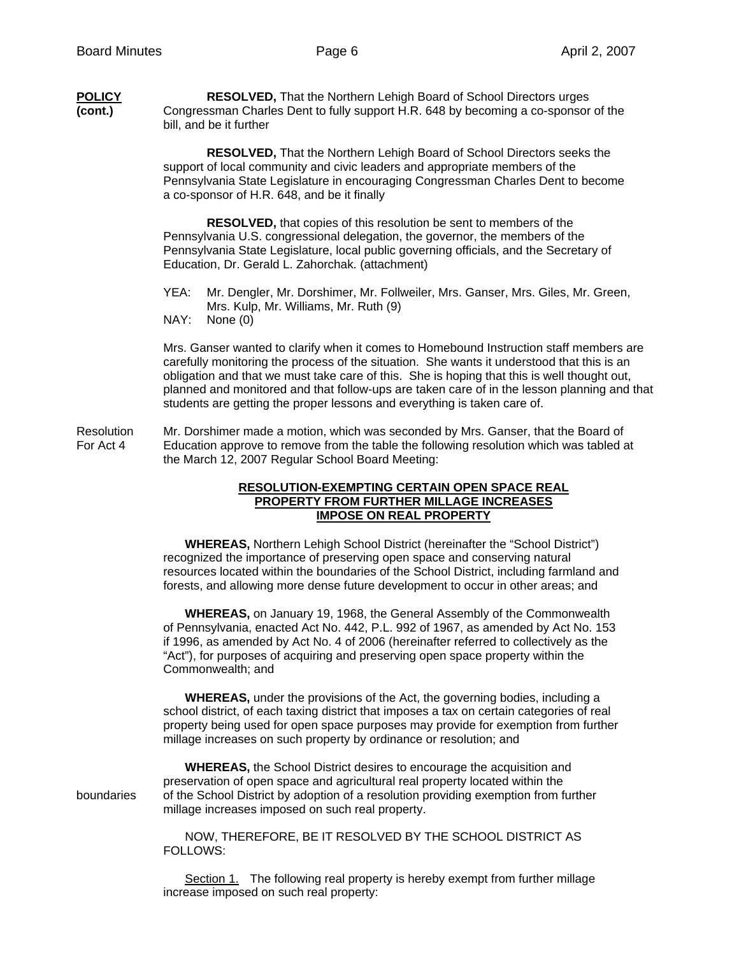| POLICY  | <b>RESOLVED, That the Northern Lehigh Board of School Directors urges</b>          |
|---------|------------------------------------------------------------------------------------|
| (cont.) | Congressman Charles Dent to fully support H.R. 648 by becoming a co-sponsor of the |
|         | bill, and be it further                                                            |

 **RESOLVED,** That the Northern Lehigh Board of School Directors seeks the support of local community and civic leaders and appropriate members of the Pennsylvania State Legislature in encouraging Congressman Charles Dent to become a co-sponsor of H.R. 648, and be it finally

 **RESOLVED,** that copies of this resolution be sent to members of the Pennsylvania U.S. congressional delegation, the governor, the members of the Pennsylvania State Legislature, local public governing officials, and the Secretary of Education, Dr. Gerald L. Zahorchak. (attachment)

- YEA: Mr. Dengler, Mr. Dorshimer, Mr. Follweiler, Mrs. Ganser, Mrs. Giles, Mr. Green, Mrs. Kulp, Mr. Williams, Mr. Ruth (9)
- NAY: None (0)

 Mrs. Ganser wanted to clarify when it comes to Homebound Instruction staff members are carefully monitoring the process of the situation. She wants it understood that this is an obligation and that we must take care of this. She is hoping that this is well thought out, planned and monitored and that follow-ups are taken care of in the lesson planning and that students are getting the proper lessons and everything is taken care of.

Resolution Mr. Dorshimer made a motion, which was seconded by Mrs. Ganser, that the Board of For Act 4 Education approve to remove from the table the following resolution which was tabled a Education approve to remove from the table the following resolution which was tabled at the March 12, 2007 Regular School Board Meeting:

## **RESOLUTION-EXEMPTING CERTAIN OPEN SPACE REAL PROPERTY FROM FURTHER MILLAGE INCREASES IMPOSE ON REAL PROPERTY**

**WHEREAS,** Northern Lehigh School District (hereinafter the "School District") recognized the importance of preserving open space and conserving natural resources located within the boundaries of the School District, including farmland and forests, and allowing more dense future development to occur in other areas; and

**WHEREAS,** on January 19, 1968, the General Assembly of the Commonwealth of Pennsylvania, enacted Act No. 442, P.L. 992 of 1967, as amended by Act No. 153 if 1996, as amended by Act No. 4 of 2006 (hereinafter referred to collectively as the "Act"), for purposes of acquiring and preserving open space property within the Commonwealth; and

**WHEREAS,** under the provisions of the Act, the governing bodies, including a school district, of each taxing district that imposes a tax on certain categories of real property being used for open space purposes may provide for exemption from further millage increases on such property by ordinance or resolution; and

 **WHEREAS,** the School District desires to encourage the acquisition and preservation of open space and agricultural real property located within the boundaries of the School District by adoption of a resolution providing exemption from further millage increases imposed on such real property.

> NOW, THEREFORE, BE IT RESOLVED BY THE SCHOOL DISTRICT AS FOLLOWS:

Section 1. The following real property is hereby exempt from further millage increase imposed on such real property: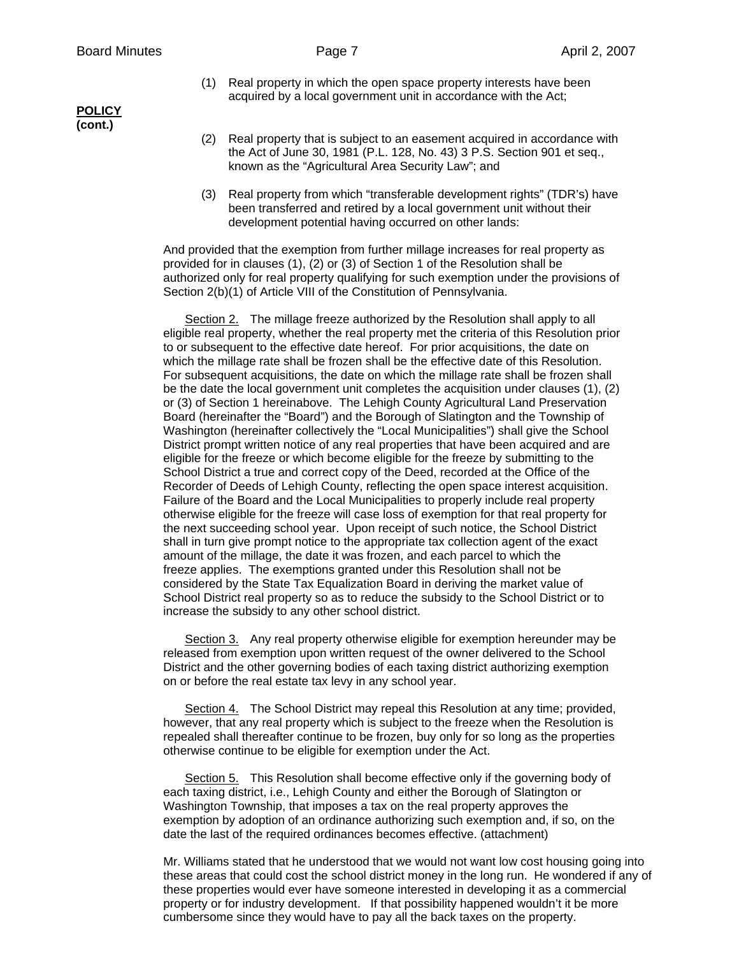- (1) Real property in which the open space property interests have been acquired by a local government unit in accordance with the Act;
- (2) Real property that is subject to an easement acquired in accordance with the Act of June 30, 1981 (P.L. 128, No. 43) 3 P.S. Section 901 et seq., known as the "Agricultural Area Security Law"; and
- (3) Real property from which "transferable development rights" (TDR's) have been transferred and retired by a local government unit without their development potential having occurred on other lands:

And provided that the exemption from further millage increases for real property as provided for in clauses (1), (2) or (3) of Section 1 of the Resolution shall be authorized only for real property qualifying for such exemption under the provisions of Section 2(b)(1) of Article VIII of the Constitution of Pennsylvania.

Section 2. The millage freeze authorized by the Resolution shall apply to all eligible real property, whether the real property met the criteria of this Resolution prior to or subsequent to the effective date hereof. For prior acquisitions, the date on which the millage rate shall be frozen shall be the effective date of this Resolution. For subsequent acquisitions, the date on which the millage rate shall be frozen shall be the date the local government unit completes the acquisition under clauses (1), (2) or (3) of Section 1 hereinabove. The Lehigh County Agricultural Land Preservation Board (hereinafter the "Board") and the Borough of Slatington and the Township of Washington (hereinafter collectively the "Local Municipalities") shall give the School District prompt written notice of any real properties that have been acquired and are eligible for the freeze or which become eligible for the freeze by submitting to the School District a true and correct copy of the Deed, recorded at the Office of the Recorder of Deeds of Lehigh County, reflecting the open space interest acquisition. Failure of the Board and the Local Municipalities to properly include real property otherwise eligible for the freeze will case loss of exemption for that real property for the next succeeding school year. Upon receipt of such notice, the School District shall in turn give prompt notice to the appropriate tax collection agent of the exact amount of the millage, the date it was frozen, and each parcel to which the freeze applies. The exemptions granted under this Resolution shall not be considered by the State Tax Equalization Board in deriving the market value of School District real property so as to reduce the subsidy to the School District or to increase the subsidy to any other school district.

Section 3. Any real property otherwise eligible for exemption hereunder may be released from exemption upon written request of the owner delivered to the School District and the other governing bodies of each taxing district authorizing exemption on or before the real estate tax levy in any school year.

Section 4. The School District may repeal this Resolution at any time; provided, however, that any real property which is subject to the freeze when the Resolution is repealed shall thereafter continue to be frozen, buy only for so long as the properties otherwise continue to be eligible for exemption under the Act.

 Section 5. This Resolution shall become effective only if the governing body of each taxing district, i.e., Lehigh County and either the Borough of Slatington or Washington Township, that imposes a tax on the real property approves the exemption by adoption of an ordinance authorizing such exemption and, if so, on the date the last of the required ordinances becomes effective. (attachment)

Mr. Williams stated that he understood that we would not want low cost housing going into these areas that could cost the school district money in the long run. He wondered if any of these properties would ever have someone interested in developing it as a commercial property or for industry development. If that possibility happened wouldn't it be more cumbersome since they would have to pay all the back taxes on the property.

**POLICY (cont.)**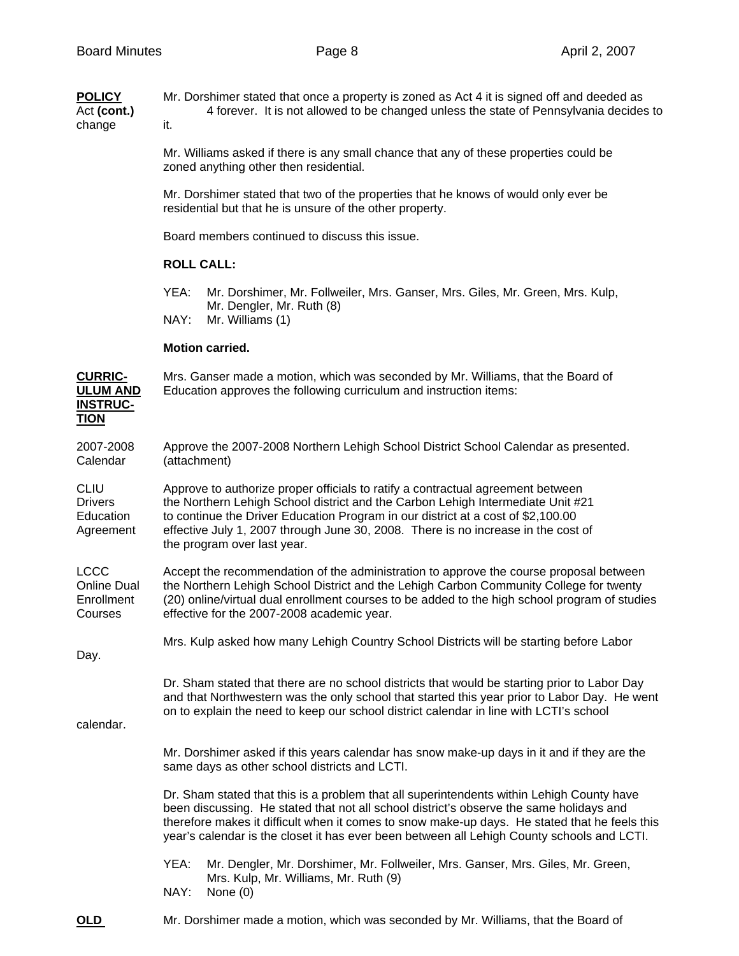| <b>POLICY</b><br>Act (cont.)<br>change                              | Mr. Dorshimer stated that once a property is zoned as Act 4 it is signed off and deeded as<br>4 forever. It is not allowed to be changed unless the state of Pennsylvania decides to<br>it.                                                                                                                                                                                         |  |  |  |  |
|---------------------------------------------------------------------|-------------------------------------------------------------------------------------------------------------------------------------------------------------------------------------------------------------------------------------------------------------------------------------------------------------------------------------------------------------------------------------|--|--|--|--|
|                                                                     | Mr. Williams asked if there is any small chance that any of these properties could be<br>zoned anything other then residential.                                                                                                                                                                                                                                                     |  |  |  |  |
|                                                                     | Mr. Dorshimer stated that two of the properties that he knows of would only ever be<br>residential but that he is unsure of the other property.                                                                                                                                                                                                                                     |  |  |  |  |
|                                                                     | Board members continued to discuss this issue.                                                                                                                                                                                                                                                                                                                                      |  |  |  |  |
|                                                                     | <b>ROLL CALL:</b>                                                                                                                                                                                                                                                                                                                                                                   |  |  |  |  |
|                                                                     | YEA:<br>Mr. Dorshimer, Mr. Follweiler, Mrs. Ganser, Mrs. Giles, Mr. Green, Mrs. Kulp,<br>Mr. Dengler, Mr. Ruth (8)<br>NAY:<br>Mr. Williams (1)                                                                                                                                                                                                                                      |  |  |  |  |
|                                                                     | <b>Motion carried.</b>                                                                                                                                                                                                                                                                                                                                                              |  |  |  |  |
| <b>CURRIC-</b><br><b>ULUM AND</b><br><b>INSTRUC-</b><br><b>TION</b> | Mrs. Ganser made a motion, which was seconded by Mr. Williams, that the Board of<br>Education approves the following curriculum and instruction items:                                                                                                                                                                                                                              |  |  |  |  |
| 2007-2008<br>Calendar                                               | Approve the 2007-2008 Northern Lehigh School District School Calendar as presented.<br>(attachment)                                                                                                                                                                                                                                                                                 |  |  |  |  |
| <b>CLIU</b><br><b>Drivers</b><br>Education<br>Agreement             | Approve to authorize proper officials to ratify a contractual agreement between<br>the Northern Lehigh School district and the Carbon Lehigh Intermediate Unit #21<br>to continue the Driver Education Program in our district at a cost of \$2,100.00<br>effective July 1, 2007 through June 30, 2008. There is no increase in the cost of<br>the program over last year.          |  |  |  |  |
| <b>LCCC</b><br><b>Online Dual</b><br>Enrollment<br>Courses          | Accept the recommendation of the administration to approve the course proposal between<br>the Northern Lehigh School District and the Lehigh Carbon Community College for twenty<br>(20) online/virtual dual enrollment courses to be added to the high school program of studies<br>effective for the 2007-2008 academic year.                                                     |  |  |  |  |
| Day.                                                                | Mrs. Kulp asked how many Lehigh Country School Districts will be starting before Labor                                                                                                                                                                                                                                                                                              |  |  |  |  |
| calendar.                                                           | Dr. Sham stated that there are no school districts that would be starting prior to Labor Day<br>and that Northwestern was the only school that started this year prior to Labor Day. He went<br>on to explain the need to keep our school district calendar in line with LCTI's school                                                                                              |  |  |  |  |
|                                                                     | Mr. Dorshimer asked if this years calendar has snow make-up days in it and if they are the<br>same days as other school districts and LCTI.                                                                                                                                                                                                                                         |  |  |  |  |
|                                                                     | Dr. Sham stated that this is a problem that all superintendents within Lehigh County have<br>been discussing. He stated that not all school district's observe the same holidays and<br>therefore makes it difficult when it comes to snow make-up days. He stated that he feels this<br>year's calendar is the closet it has ever been between all Lehigh County schools and LCTI. |  |  |  |  |
|                                                                     | YEA:<br>Mr. Dengler, Mr. Dorshimer, Mr. Follweiler, Mrs. Ganser, Mrs. Giles, Mr. Green,<br>Mrs. Kulp, Mr. Williams, Mr. Ruth (9)                                                                                                                                                                                                                                                    |  |  |  |  |

- NAY: None (0)
- **OLD** Mr. Dorshimer made a motion, which was seconded by Mr. Williams, that the Board of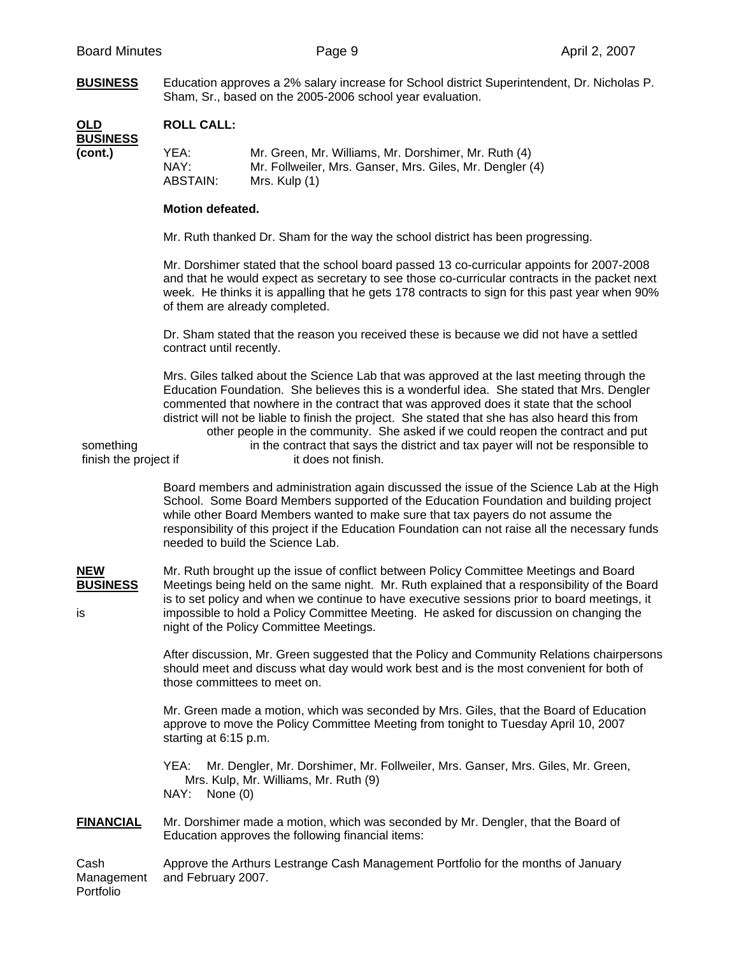**BUSINESS** Education approves a 2% salary increase for School district Superintendent, Dr. Nicholas P. Sham, Sr., based on the 2005-2006 school year evaluation.

| OLD<br><b>BUSINESS</b> | <b>ROLL CALL:</b>        |                                                                                                                                   |
|------------------------|--------------------------|-----------------------------------------------------------------------------------------------------------------------------------|
| (cont.)                | YEA:<br>NAY:<br>ABSTAIN: | Mr. Green, Mr. Williams, Mr. Dorshimer, Mr. Ruth (4)<br>Mr. Follweiler, Mrs. Ganser, Mrs. Giles, Mr. Dengler (4)<br>Mrs. Kulp (1) |

## **Motion defeated.**

Mr. Ruth thanked Dr. Sham for the way the school district has been progressing.

 Mr. Dorshimer stated that the school board passed 13 co-curricular appoints for 2007-2008 and that he would expect as secretary to see those co-curricular contracts in the packet next week. He thinks it is appalling that he gets 178 contracts to sign for this past year when 90% of them are already completed.

 Dr. Sham stated that the reason you received these is because we did not have a settled contract until recently.

 Mrs. Giles talked about the Science Lab that was approved at the last meeting through the Education Foundation. She believes this is a wonderful idea. She stated that Mrs. Dengler commented that nowhere in the contract that was approved does it state that the school district will not be liable to finish the project. She stated that she has also heard this from other people in the community. She asked if we could reopen the contract and put something in the contract that says the district and tax payer will not be responsible to finish the project if it does not finish.

> Board members and administration again discussed the issue of the Science Lab at the High School. Some Board Members supported of the Education Foundation and building project while other Board Members wanted to make sure that tax payers do not assume the responsibility of this project if the Education Foundation can not raise all the necessary funds needed to build the Science Lab.

**NEW** Mr. Ruth brought up the issue of conflict between Policy Committee Meetings and Board<br>**BUSINESS** Meetings being held on the same night. Mr. Ruth explained that a responsibility of the Bo **BUSINESS** Meetings being held on the same night. Mr. Ruth explained that a responsibility of the Board is to set policy and when we continue to have executive sessions prior to board meetings, it is impossible to hold a Policy Committee Meeting. He asked for discussion on changing the night of the Policy Committee Meetings.

> After discussion, Mr. Green suggested that the Policy and Community Relations chairpersons should meet and discuss what day would work best and is the most convenient for both of those committees to meet on.

 Mr. Green made a motion, which was seconded by Mrs. Giles, that the Board of Education approve to move the Policy Committee Meeting from tonight to Tuesday April 10, 2007 starting at 6:15 p.m.

 YEA: Mr. Dengler, Mr. Dorshimer, Mr. Follweiler, Mrs. Ganser, Mrs. Giles, Mr. Green, Mrs. Kulp, Mr. Williams, Mr. Ruth (9) NAY: None (0)

**FINANCIAL** Mr. Dorshimer made a motion, which was seconded by Mr. Dengler, that the Board of Education approves the following financial items:

Cash Approve the Arthurs Lestrange Cash Management Portfolio for the months of January Management and February 2007. Portfolio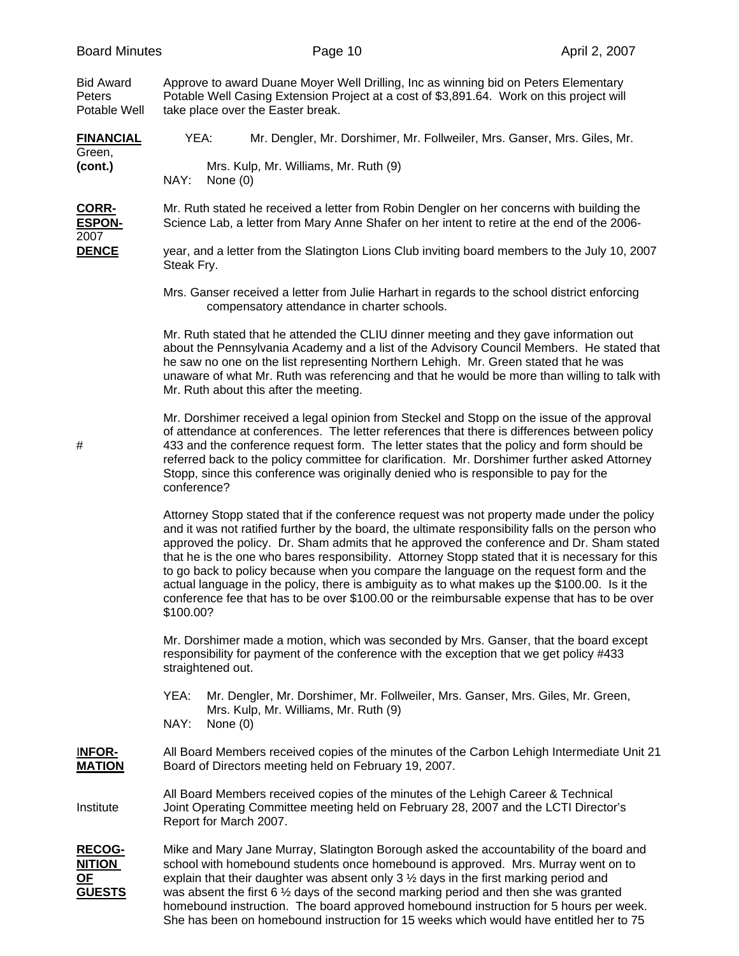Bid Award Approve to award Duane Moyer Well Drilling, Inc as winning bid on Peters Elementary Peters Potable Well Casing Extension Project at a cost of \$3,891.64. Work on this project will Potable Well take place over the Easter break.

**FINANCIAL** YEA: Mr. Dengler, Mr. Dorshimer, Mr. Follweiler, Mrs. Ganser, Mrs. Giles, Mr. Green, **(cont.)** Mrs. Kulp, Mr. Williams, Mr. Ruth (9)<br>
NAY: None (0) None (0)

**CORR-** Mr. Ruth stated he received a letter from Robin Dengler on her concerns with building the **ESPON-** Science Lab, a letter from Mary Anne Shafer on her intent to retire at the end of the 2006- 2007

**DENCE** year, and a letter from the Slatington Lions Club inviting board members to the July 10, 2007 Steak Fry.

> Mrs. Ganser received a letter from Julie Harhart in regards to the school district enforcing compensatory attendance in charter schools.

 Mr. Ruth stated that he attended the CLIU dinner meeting and they gave information out about the Pennsylvania Academy and a list of the Advisory Council Members. He stated that he saw no one on the list representing Northern Lehigh. Mr. Green stated that he was unaware of what Mr. Ruth was referencing and that he would be more than willing to talk with Mr. Ruth about this after the meeting.

 Mr. Dorshimer received a legal opinion from Steckel and Stopp on the issue of the approval of attendance at conferences. The letter references that there is differences between policy # 433 and the conference request form. The letter states that the policy and form should be referred back to the policy committee for clarification. Mr. Dorshimer further asked Attorney Stopp, since this conference was originally denied who is responsible to pay for the conference?

> Attorney Stopp stated that if the conference request was not property made under the policy and it was not ratified further by the board, the ultimate responsibility falls on the person who approved the policy. Dr. Sham admits that he approved the conference and Dr. Sham stated that he is the one who bares responsibility. Attorney Stopp stated that it is necessary for this to go back to policy because when you compare the language on the request form and the actual language in the policy, there is ambiguity as to what makes up the \$100.00. Is it the conference fee that has to be over \$100.00 or the reimbursable expense that has to be over \$100.00?

 Mr. Dorshimer made a motion, which was seconded by Mrs. Ganser, that the board except responsibility for payment of the conference with the exception that we get policy #433 straightened out.

- YEA: Mr. Dengler, Mr. Dorshimer, Mr. Follweiler, Mrs. Ganser, Mrs. Giles, Mr. Green, Mrs. Kulp, Mr. Williams, Mr. Ruth (9)
- NAY: None (0)

I**NFOR-** All Board Members received copies of the minutes of the Carbon Lehigh Intermediate Unit 21 **MATION** Board of Directors meeting held on February 19, 2007.

 All Board Members received copies of the minutes of the Lehigh Career & Technical Institute Joint Operating Committee meeting held on February 28, 2007 and the LCTI Director's Report for March 2007.

**RECOG-** Mike and Mary Jane Murray, Slatington Borough asked the accountability of the board and **NITION** school with homebound students once homebound is approved. Mrs. Murray went on to **OF** explain that their daughter was absent only 3 <sup>1</sup>/<sub>2</sub> days in the first marking period and **GUESTS** was absent the first 6 ½ days of the second marking period and then she was granted homebound instruction. The board approved homebound instruction for 5 hours per week. She has been on homebound instruction for 15 weeks which would have entitled her to 75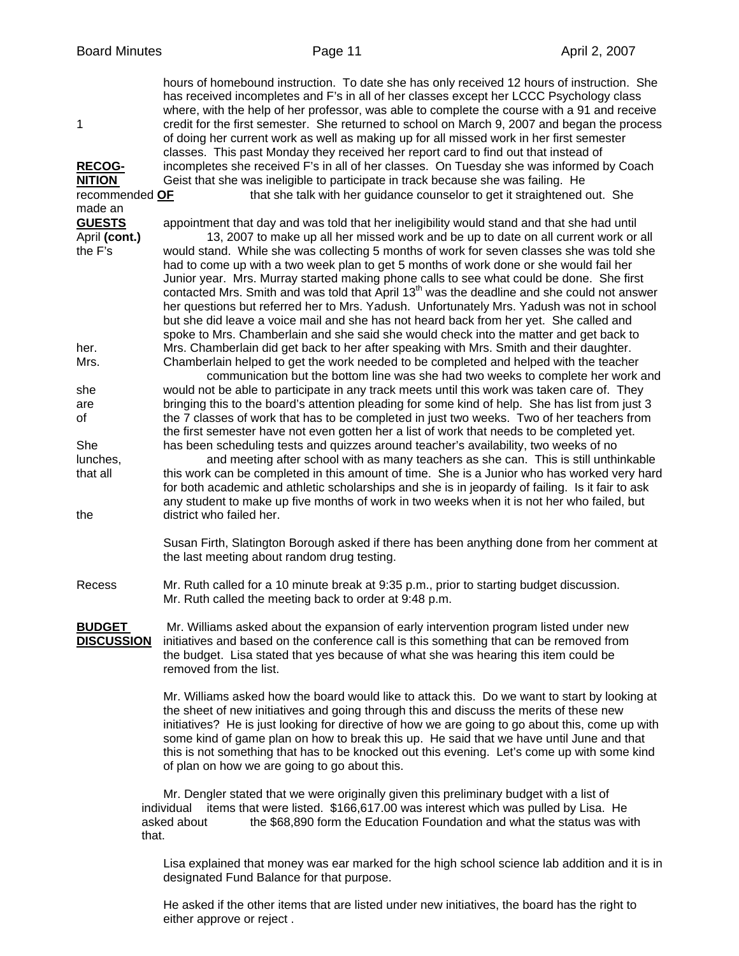hours of homebound instruction. To date she has only received 12 hours of instruction. She has received incompletes and F's in all of her classes except her LCCC Psychology class where, with the help of her professor, was able to complete the course with a 91 and receive 1 credit for the first semester. She returned to school on March 9, 2007 and began the process of doing her current work as well as making up for all missed work in her first semester classes. This past Monday they received her report card to find out that instead of **RECOG-** incompletes she received F's in all of her classes. On Tuesday she was informed by Coach **NITION** Geist that she was ineligible to participate in track because she was failing. He recommended **OF** that she talk with her guidance counselor to get it straightened out. She made an **GUESTS** appointment that day and was told that her ineligibility would stand and that she had until April (cont.) **13**, 2007 to make up all her missed work and be up to date on all current work or all the F's would stand. While she was collecting 5 months of work for seven classes she was told she had to come up with a two week plan to get 5 months of work done or she would fail her Junior year. Mrs. Murray started making phone calls to see what could be done. She first contacted Mrs. Smith and was told that  $\overrightarrow{Apri}$  13<sup>th</sup> was the deadline and she could not answer her questions but referred her to Mrs. Yadush. Unfortunately Mrs. Yadush was not in school but she did leave a voice mail and she has not heard back from her yet. She called and spoke to Mrs. Chamberlain and she said she would check into the matter and get back to her. Mrs. Chamberlain did get back to her after speaking with Mrs. Smith and their daughter. Mrs. Chamberlain helped to get the work needed to be completed and helped with the teacher communication but the bottom line was she had two weeks to complete her work and she would not be able to participate in any track meets until this work was taken care of. They are bringing this to the board's attention pleading for some kind of help. She has list from just 3 of the 7 classes of work that has to be completed in just two weeks. Two of her teachers from the first semester have not even gotten her a list of work that needs to be completed yet. She has been scheduling tests and quizzes around teacher's availability, two weeks of no lunches, and meeting after school with as many teachers as she can. This is still unthinkable that all this work can be completed in this amount of time. She is a Junior who has worked very hard for both academic and athletic scholarships and she is in jeopardy of failing. Is it fair to ask any student to make up five months of work in two weeks when it is not her who failed, but the district who failed her. Susan Firth, Slatington Borough asked if there has been anything done from her comment at the last meeting about random drug testing. Recess Mr. Ruth called for a 10 minute break at 9:35 p.m., prior to starting budget discussion. Mr. Ruth called the meeting back to order at 9:48 p.m. **BUDGET** Mr. Williams asked about the expansion of early intervention program listed under new **DISCUSSION** initiatives and based on the conference call is this something that can be removed from the budget. Lisa stated that yes because of what she was hearing this item could be removed from the list. Mr. Williams asked how the board would like to attack this. Do we want to start by looking at the sheet of new initiatives and going through this and discuss the merits of these new initiatives? He is just looking for directive of how we are going to go about this, come up with some kind of game plan on how to break this up. He said that we have until June and that

> Mr. Dengler stated that we were originally given this preliminary budget with a list of individual items that were listed. \$166,617.00 was interest which was pulled by Lisa. He asked about the \$68,890 form the Education Foundation and what the status was with that.

of plan on how we are going to go about this.

this is not something that has to be knocked out this evening. Let's come up with some kind

 Lisa explained that money was ear marked for the high school science lab addition and it is in designated Fund Balance for that purpose.

 He asked if the other items that are listed under new initiatives, the board has the right to either approve or reject .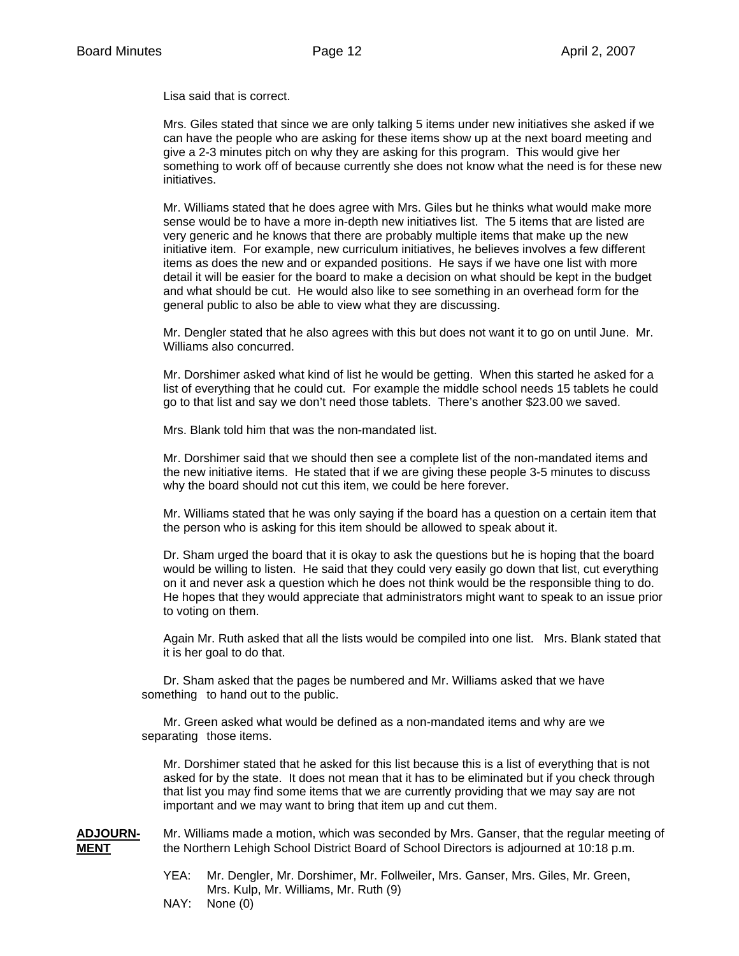Lisa said that is correct.

 Mrs. Giles stated that since we are only talking 5 items under new initiatives she asked if we can have the people who are asking for these items show up at the next board meeting and give a 2-3 minutes pitch on why they are asking for this program. This would give her something to work off of because currently she does not know what the need is for these new initiatives.

 Mr. Williams stated that he does agree with Mrs. Giles but he thinks what would make more sense would be to have a more in-depth new initiatives list. The 5 items that are listed are very generic and he knows that there are probably multiple items that make up the new initiative item. For example, new curriculum initiatives, he believes involves a few different items as does the new and or expanded positions. He says if we have one list with more detail it will be easier for the board to make a decision on what should be kept in the budget and what should be cut. He would also like to see something in an overhead form for the general public to also be able to view what they are discussing.

 Mr. Dengler stated that he also agrees with this but does not want it to go on until June. Mr. Williams also concurred.

 Mr. Dorshimer asked what kind of list he would be getting. When this started he asked for a list of everything that he could cut. For example the middle school needs 15 tablets he could go to that list and say we don't need those tablets. There's another \$23.00 we saved.

Mrs. Blank told him that was the non-mandated list.

 Mr. Dorshimer said that we should then see a complete list of the non-mandated items and the new initiative items. He stated that if we are giving these people 3-5 minutes to discuss why the board should not cut this item, we could be here forever.

 Mr. Williams stated that he was only saying if the board has a question on a certain item that the person who is asking for this item should be allowed to speak about it.

 Dr. Sham urged the board that it is okay to ask the questions but he is hoping that the board would be willing to listen. He said that they could very easily go down that list, cut everything on it and never ask a question which he does not think would be the responsible thing to do. He hopes that they would appreciate that administrators might want to speak to an issue prior to voting on them.

 Again Mr. Ruth asked that all the lists would be compiled into one list. Mrs. Blank stated that it is her goal to do that.

 Dr. Sham asked that the pages be numbered and Mr. Williams asked that we have something to hand out to the public.

 Mr. Green asked what would be defined as a non-mandated items and why are we separating those items.

 Mr. Dorshimer stated that he asked for this list because this is a list of everything that is not asked for by the state. It does not mean that it has to be eliminated but if you check through that list you may find some items that we are currently providing that we may say are not important and we may want to bring that item up and cut them.

**ADJOURN-** Mr. Williams made a motion, which was seconded by Mrs. Ganser, that the regular meeting of **MENT** the Northern Lehigh School District Board of School Directors is adjourned at 10:18 p.m.

- YEA: Mr. Dengler, Mr. Dorshimer, Mr. Follweiler, Mrs. Ganser, Mrs. Giles, Mr. Green, Mrs. Kulp, Mr. Williams, Mr. Ruth (9)
- NAY: None (0)